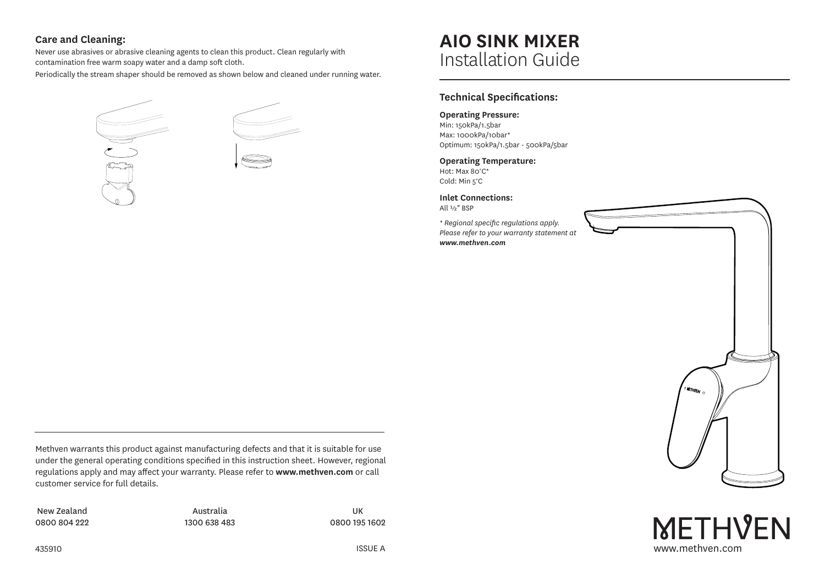## **Care and Cleaning:**

Never use abrasives or abrasive cleaning agents to clean this product. Clean regularly with contamination free warm soapy water and a damp soft cloth.

Periodically the stream shaper should be removed as shown below and cleaned under running water.



# **AIO SINK MIXER** Installation Guide

## **Technical Specifications:**

#### **Operating Pressure:**

Min: 150kPa/1.5bar Max: 1000kPa/10bar\* Optimum: 150kPa/1.5bar - 500kPa/5bar

#### **Operating Temperature:**

Hot: Max 80°C\* Cold: Min 5°C

**Inlet Connections:**

All ½" BSP

*\* Regional specific regulations apply. Please refer to your warranty statement at www.methven.com*



www.methven.com

**METHVEN** 

Methven warrants this product against manufacturing defects and that it is suitable for use under the general operating conditions specified in this instruction sheet. However, regional regulations apply and may affect your warranty. Please refer to **www.methven.com** or call customer service for full details.

New Zealand 0800 804 222

Australia 1300 638 483

UK 0800 195 1602